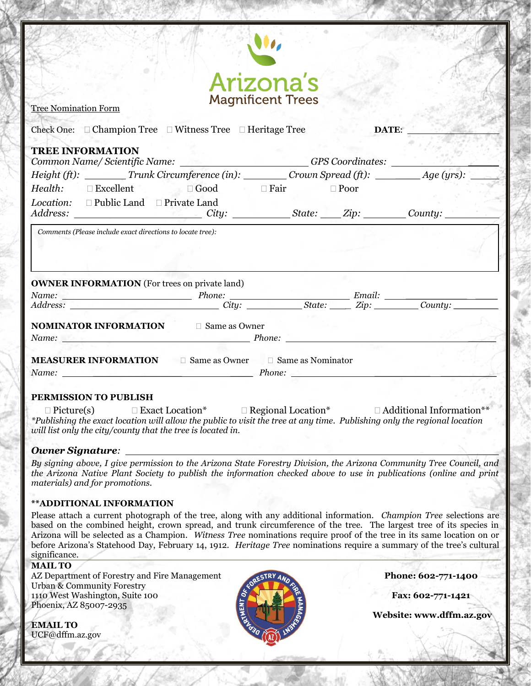|                                                                                                                                                                                                                                                                                                                                        | <b>Arizona's</b><br><b>Magnificent Trees</b> |          |       |  |
|----------------------------------------------------------------------------------------------------------------------------------------------------------------------------------------------------------------------------------------------------------------------------------------------------------------------------------------|----------------------------------------------|----------|-------|--|
| <b>Tree Nomination Form</b>                                                                                                                                                                                                                                                                                                            |                                              |          |       |  |
| Check One: $\Box$ Champion Tree $\Box$ Witness Tree $\Box$ Heritage Tree                                                                                                                                                                                                                                                               |                                              | an siste | DATE: |  |
| <b>TREE INFORMATION</b>                                                                                                                                                                                                                                                                                                                |                                              |          |       |  |
| Common Name/Scientific Name: _______________________GPS Coordinates:                                                                                                                                                                                                                                                                   |                                              |          |       |  |
|                                                                                                                                                                                                                                                                                                                                        |                                              |          |       |  |
|                                                                                                                                                                                                                                                                                                                                        |                                              |          |       |  |
| <i>Health:</i> □ Excellent □ Good □ Fair □ Poor                                                                                                                                                                                                                                                                                        |                                              |          |       |  |
|                                                                                                                                                                                                                                                                                                                                        |                                              |          |       |  |
| <i>Location:</i> □ Public Land □ Private Land<br>Comments (Please include exact directions to locate tree):                                                                                                                                                                                                                            |                                              |          |       |  |
|                                                                                                                                                                                                                                                                                                                                        |                                              |          |       |  |
|                                                                                                                                                                                                                                                                                                                                        |                                              |          |       |  |
|                                                                                                                                                                                                                                                                                                                                        |                                              |          |       |  |
|                                                                                                                                                                                                                                                                                                                                        |                                              |          |       |  |
|                                                                                                                                                                                                                                                                                                                                        |                                              |          |       |  |
|                                                                                                                                                                                                                                                                                                                                        |                                              |          |       |  |
|                                                                                                                                                                                                                                                                                                                                        |                                              |          |       |  |
|                                                                                                                                                                                                                                                                                                                                        |                                              |          |       |  |
| <b>OWNER INFORMATION</b> (For trees on private land)<br><b>NOMINATOR INFORMATION</b> □ Same as Owner<br>Name: Phone: Phone: Phone: Phone: Phone: Phone: Phone: Phone: Phone: Phone: Phone: Phone: Phone: Phone: Phone: Phone: Phone: Phone: Phone: Phone: Phone: Phone: Phone: Phone: Phone: Phone: Phone: Phone: Phone: Phone: Phone: |                                              |          |       |  |
|                                                                                                                                                                                                                                                                                                                                        |                                              |          |       |  |
| <b>MEASURER INFORMATION</b> Game as Owner Game as Nominator<br>Name: Phone: Phone: Phone: Phone: Phone: Phone: Phone: Phone: Phone: Phone: Phone: Phone: Phone: Phone: Phone: Phone: Phone: Phone: Phone: Phone: Phone: Phone: Phone: Phone: Phone: Phone: Phone: Phone: Phone: Phone: Phone:                                          |                                              |          |       |  |

# *Owner Signature: \_\_\_\_\_*

*By signing above, I give permission to the Arizona State Forestry Division, the Arizona Community Tree Council, and the Arizona Native Plant Society to publish the information checked above to use in publications (online and print materials) and for promotions.*

## **\*\*ADDITIONAL INFORMATION**

Please attach a current photograph of the tree, along with any additional information. *Champion Tree* selections are based on the combined height, crown spread, and trunk circumference of the tree. The largest tree of its species in Arizona will be selected as a Champion. *Witness Tree* nominations require proof of the tree in its same location on or before Arizona's Statehood Day, February 14, 1912. *Heritage Tree* nominations require a summary of the tree's cultural significance.

## **MAIL TO**

AZ Department of Forestry and Fire Management **Phone: 602-771-1400** Urban & Community Forestry 1110 West Washington, Suite 100 **Fax: 602-771-1421** Phoenix, AZ 85007-2935

**EMAIL TO** UCF@dffm.az.gov



ebsi **Website: www.dffm.az.gov**